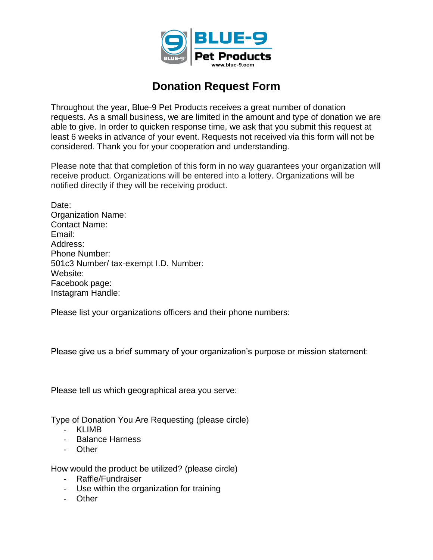

## **Donation Request Form**

Throughout the year, Blue-9 Pet Products receives a great number of donation requests. As a small business, we are limited in the amount and type of donation we are able to give. In order to quicken response time, we ask that you submit this request at least 6 weeks in advance of your event. Requests not received via this form will not be considered. Thank you for your cooperation and understanding.

Please note that that completion of this form in no way guarantees your organization will receive product. Organizations will be entered into a lottery. Organizations will be notified directly if they will be receiving product.

Date: Organization Name: Contact Name: Email: Address: Phone Number: 501c3 Number/ tax-exempt I.D. Number: Website: Facebook page: Instagram Handle:

Please list your organizations officers and their phone numbers:

Please give us a brief summary of your organization's purpose or mission statement:

Please tell us which geographical area you serve:

Type of Donation You Are Requesting (please circle)

- KLIMB
- Balance Harness
- Other

How would the product be utilized? (please circle)

- Raffle/Fundraiser
- Use within the organization for training
- Other